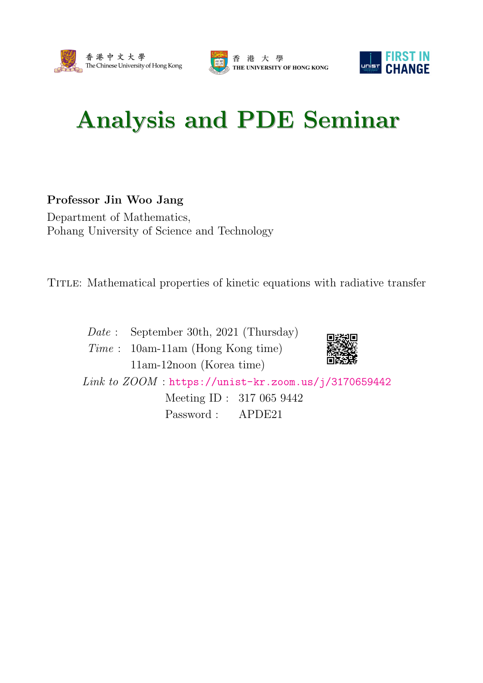





## Analysis and PDE Seminar

## Professor Jin Woo Jang

Department of Mathematics, Pohang University of Science and Technology

Title: Mathematical properties of kinetic equations with radiative transfer

Date : September 30th, 2021 (Thursday)

Time : 10am-11am (Hong Kong time) 11am-12noon (Korea time)



Link to ZOOM : <https://unist-kr.zoom.us/j/3170659442>

Meeting ID : 317 065 9442 Password : APDE21